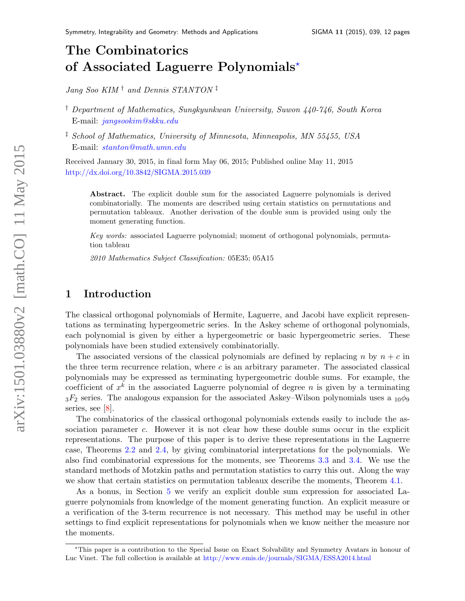# The Combinatorics of Associated Laguerre Polynomials<sup>\*</sup>

Jang Soo KIM † and Dennis STANTON ‡

- † Department of Mathematics, Sungkyunkwan University, Suwon 440-746, South Korea E-mail: <jangsookim@skku.edu>
- ‡ School of Mathematics, University of Minnesota, Minneapolis, MN 55455, USA E-mail: <stanton@math.umn.edu>

Received January 30, 2015, in final form May 06, 2015; Published online May 11, 2015 <http://dx.doi.org/10.3842/SIGMA.2015.039>

Abstract. The explicit double sum for the associated Laguerre polynomials is derived combinatorially. The moments are described using certain statistics on permutations and permutation tableaux. Another derivation of the double sum is provided using only the moment generating function.

Key words: associated Laguerre polynomial; moment of orthogonal polynomials, permutation tableau

2010 Mathematics Subject Classification: 05E35; 05A15

## 1 Introduction

The classical orthogonal polynomials of Hermite, Laguerre, and Jacobi have explicit representations as terminating hypergeometric series. In the Askey scheme of orthogonal polynomials, each polynomial is given by either a hypergeometric or basic hypergeometric series. These polynomials have been studied extensively combinatorially.

The associated versions of the classical polynomials are defined by replacing n by  $n + c$  in the three term recurrence relation, where  $c$  is an arbitrary parameter. The associated classical polynomials may be expressed as terminating hypergeometric double sums. For example, the coefficient of  $x^k$  in the associated Laguerre polynomial of degree n is given by a terminating  $3F_2$  series. The analogous expansion for the associated Askey–Wilson polynomials uses a  $10\phi_9$ series, see [\[8\]](#page-11-0).

The combinatorics of the classical orthogonal polynomials extends easily to include the association parameter c. However it is not clear how these double sums occur in the explicit representations. The purpose of this paper is to derive these representations in the Laguerre case, Theorems [2.2](#page-1-0) and [2.4,](#page-1-1) by giving combinatorial interpretations for the polynomials. We also find combinatorial expressions for the moments, see Theorems [3.3](#page-5-0) and [3.4.](#page-5-1) We use the standard methods of Motzkin paths and permutation statistics to carry this out. Along the way we show that certain statistics on permutation tableaux describe the moments, Theorem [4.1.](#page-8-0)

As a bonus, in Section [5](#page-9-0) we verify an explicit double sum expression for associated Laguerre polynomials from knowledge of the moment generating function. An explicit measure or a verification of the 3-term recurrence is not necessary. This method may be useful in other settings to find explicit representations for polynomials when we know neither the measure nor the moments.

<span id="page-0-0"></span><sup>?</sup>This paper is a contribution to the Special Issue on Exact Solvability and Symmetry Avatars in honour of Luc Vinet. The full collection is available at <http://www.emis.de/journals/SIGMA/ESSA2014.html>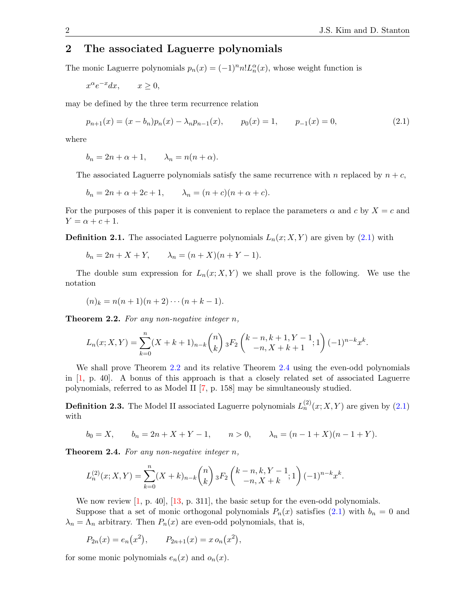# <span id="page-1-3"></span>2 The associated Laguerre polynomials

The monic Laguerre polynomials  $p_n(x) = (-1)^n n! L_n^{\alpha}(x)$ , whose weight function is

$$
x^{\alpha}e^{-x}dx, \qquad x \ge 0,
$$

may be defined by the three term recurrence relation

<span id="page-1-2"></span>
$$
p_{n+1}(x) = (x - b_n)p_n(x) - \lambda_n p_{n-1}(x), \qquad p_0(x) = 1, \qquad p_{-1}(x) = 0,
$$
\n(2.1)

where

$$
b_n = 2n + \alpha + 1, \qquad \lambda_n = n(n + \alpha).
$$

The associated Laguerre polynomials satisfy the same recurrence with n replaced by  $n + c$ ,

$$
b_n = 2n + \alpha + 2c + 1, \qquad \lambda_n = (n + c)(n + \alpha + c).
$$

For the purposes of this paper it is convenient to replace the parameters  $\alpha$  and  $c$  by  $X = c$  and  $Y = \alpha + c + 1.$ 

**Definition 2.1.** The associated Laguerre polynomials  $L_n(x; X, Y)$  are given by [\(2.1\)](#page-1-2) with

$$
b_n = 2n + X + Y
$$
,  $\lambda_n = (n + X)(n + Y - 1)$ .

The double sum expression for  $L_n(x; X, Y)$  we shall prove is the following. We use the notation

$$
(n)_k = n(n+1)(n+2)\cdots(n+k-1).
$$

<span id="page-1-0"></span>Theorem 2.2. For any non-negative integer n,

$$
L_n(x; X, Y) = \sum_{k=0}^n (X + k + 1)_{n-k} \binom{n}{k} {}_3F_2\binom{k-n, k+1, Y-1}{-n, X+k+1} (-1)^{n-k} x^k.
$$

We shall prove Theorem [2.2](#page-1-0) and its relative Theorem [2.4](#page-1-1) using the even-odd polynomials in  $[1, p. 40]$  $[1, p. 40]$ . A bonus of this approach is that a closely related set of associated Laguerre polynomials, referred to as Model II [\[7,](#page-11-2) p. 158] may be simultaneously studied.

**Definition 2.3.** The Model II associated Laguerre polynomials  $L_n^{(2)}(x;X,Y)$  are given by  $(2.1)$ with

$$
b_0 = X
$$
,  $b_n = 2n + X + Y - 1$ ,  $n > 0$ ,  $\lambda_n = (n - 1 + X)(n - 1 + Y)$ .

<span id="page-1-1"></span>**Theorem 2.4.** For any non-negative integer  $n$ ,

$$
L_n^{(2)}(x;X,Y) = \sum_{k=0}^n (X+k)_{n-k} \binom{n}{k} \, {}_3F_2\left(\begin{matrix}k-n,k,Y-1\\-n,X+k\end{matrix};1\right) (-1)^{n-k} x^k.
$$

We now review [\[1,](#page-11-1) p. 40], [\[13,](#page-11-3) p. 311], the basic setup for the even-odd polynomials.

Suppose that a set of monic orthogonal polynomials  $P_n(x)$  satisfies [\(2.1\)](#page-1-2) with  $b_n = 0$  and  $\lambda_n = \Lambda_n$  arbitrary. Then  $P_n(x)$  are even-odd polynomials, that is,

$$
P_{2n}(x) = e_n(x^2), \qquad P_{2n+1}(x) = x o_n(x^2),
$$

for some monic polynomials  $e_n(x)$  and  $o_n(x)$ .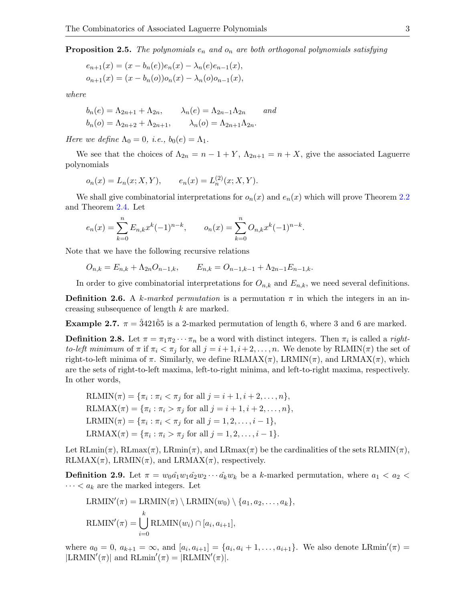**Proposition 2.5.** The polynomials  $e_n$  and  $o_n$  are both orthogonal polynomials satisfying

$$
e_{n+1}(x) = (x - b_n(e))e_n(x) - \lambda_n(e)e_{n-1}(x),
$$
  

$$
o_{n+1}(x) = (x - b_n(o))o_n(x) - \lambda_n(o)o_{n-1}(x),
$$

where

$$
b_n(e) = \Lambda_{2n+1} + \Lambda_{2n}, \qquad \lambda_n(e) = \Lambda_{2n-1}\Lambda_{2n} \qquad and
$$
  

$$
b_n(o) = \Lambda_{2n+2} + \Lambda_{2n+1}, \qquad \lambda_n(o) = \Lambda_{2n+1}\Lambda_{2n}.
$$

Here we define  $\Lambda_0 = 0$ , i.e.,  $b_0(e) = \Lambda_1$ .

We see that the choices of  $\Lambda_{2n} = n - 1 + Y$ ,  $\Lambda_{2n+1} = n + X$ , give the associated Laguerre polynomials

$$
o_n(x) = L_n(x; X, Y), \qquad e_n(x) = L_n^{(2)}(x; X, Y).
$$

We shall give combinatorial interpretations for  $o_n(x)$  and  $e_n(x)$  which will prove Theorem [2.2](#page-1-0) and Theorem [2.4.](#page-1-1) Let

$$
e_n(x) = \sum_{k=0}^n E_{n,k} x^k (-1)^{n-k}, \qquad o_n(x) = \sum_{k=0}^n O_{n,k} x^k (-1)^{n-k}.
$$

Note that we have the following recursive relations

$$
O_{n,k} = E_{n,k} + \Lambda_{2n} O_{n-1,k}, \qquad E_{n,k} = O_{n-1,k-1} + \Lambda_{2n-1} E_{n-1,k}.
$$

In order to give combinatorial interpretations for  $O_{n,k}$  and  $E_{n,k}$ , we need several definitions.

**Definition 2.6.** A k-marked permutation is a permutation  $\pi$  in which the integers in an increasing subsequence of length k are marked.

Example 2.7.  $\pi = 3421\hat{6}5$  is a 2-marked permutation of length 6, where 3 and 6 are marked.

**Definition 2.8.** Let  $\pi = \pi_1 \pi_2 \cdots \pi_n$  be a word with distinct integers. Then  $\pi_i$  is called a *right*to-left minimum of  $\pi$  if  $\pi_i < \pi_j$  for all  $j = i+1, i+2, \ldots, n$ . We denote by  $RLMIN(\pi)$  the set of right-to-left minima of  $\pi$ . Similarly, we define RLMAX $(\pi)$ , LRMIN $(\pi)$ , and LRMAX $(\pi)$ , which are the sets of right-to-left maxima, left-to-right minima, and left-to-right maxima, respectively. In other words,

RLMIN( $\pi$ ) = { $\pi_i : \pi_i < \pi_j$  for all  $j = i + 1, i + 2, ..., n$ }, RLMAX( $\pi$ ) = { $\pi_i : \pi_i > \pi_j$  for all  $j = i + 1, i + 2, ..., n$ }, LRMIN( $\pi$ ) = { $\pi_i : \pi_i < \pi_j$  for all  $j = 1, 2, ..., i - 1$ }, LRMAX( $\pi$ ) = { $\pi_i : \pi_i > \pi_j$  for all  $j = 1, 2, ..., i - 1$ }.

Let  $\text{RLmin}(\pi)$ ,  $\text{RLmax}(\pi)$ ,  $\text{LRmin}(\pi)$ , and  $\text{LRmax}(\pi)$  be the cardinalities of the sets  $\text{RLMIN}(\pi)$ , RLMAX( $\pi$ ), LRMIN( $\pi$ ), and LRMAX( $\pi$ ), respectively.

**Definition 2.9.** Let  $\pi = w_0 \hat{a_1} w_1 \hat{a_2} w_2 \cdots \hat{a_k} w_k$  be a k-marked permutation, where  $a_1 < a_2 < a_1$  $\cdots < a_k$  are the marked integers. Let

LEMIN'(\pi) = LRMIN(\pi) \ \ \text{LRMIN}(w\_0) \ \ \{a\_1, a\_2, \ldots, a\_k\},  
RLMIN'(\pi) = 
$$
\bigcup_{i=0}^k \text{RLMIN}(w_i) \cap [a_i, a_{i+1}],
$$

where  $a_0 = 0$ ,  $a_{k+1} = \infty$ , and  $[a_i, a_{i+1}] = \{a_i, a_i + 1, \ldots, a_{i+1}\}$ . We also denote LRmin'( $\pi$ ) =  $|LRMIN'(\pi)|$  and  $RLmin'(\pi) = |RLMIN'(\pi)|$ .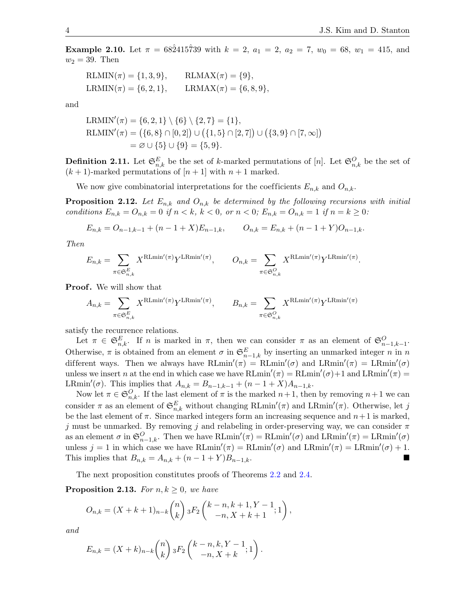Example 2.10. Let  $\pi = 68\hat{2}415\hat{7}39$  with  $k = 2$ ,  $a_1 = 2$ ,  $a_2 = 7$ ,  $w_0 = 68$ ,  $w_1 = 415$ , and  $w_2 = 39$ . Then

RLMIN(
$$
\pi
$$
) = {1, 3, 9}, RLMAX( $\pi$ ) = {9},  
LRMIN( $\pi$ ) = {6, 2, 1}, LRMAX( $\pi$ ) = {6, 8, 9},

and

LEMIN'(
$$
\pi
$$
) = {6, 2, 1} \ {6} \ {2, 7} = {1},  
RLMIN'( $\pi$ ) = ({6, 8} ∩ [0, 2]) ∪ ({1, 5} ∩ [2, 7]) ∪ ({3, 9} ∩ [7, ∞])  
=  $\emptyset$  ∪ {5} ∪ {9} = {5, 9}.

**Definition 2.11.** Let  $\mathfrak{S}_{n,k}^E$  be the set of k-marked permutations of [n]. Let  $\mathfrak{S}_{n,k}^O$  be the set of  $(k + 1)$ -marked permutations of  $[n + 1]$  with  $n + 1$  marked.

We now give combinatorial interpretations for the coefficients  $E_{n,k}$  and  $O_{n,k}$ .

<span id="page-3-0"></span>**Proposition 2.12.** Let  $E_{n,k}$  and  $O_{n,k}$  be determined by the following recursions with initial conditions  $E_{n,k} = O_{n,k} = 0$  if  $n < k, k < 0$ , or  $n < 0$ ;  $E_{n,k} = O_{n,k} = 1$  if  $n = k \ge 0$ :

$$
E_{n,k} = O_{n-1,k-1} + (n-1+X)E_{n-1,k}, \qquad O_{n,k} = E_{n,k} + (n-1+Y)O_{n-1,k}.
$$

Then

$$
E_{n,k} = \sum_{\pi \in \mathfrak{S}_{n,k}^{E}} X^{\mathrm{RLmin}'(\pi)} Y^{\mathrm{LRmin}'(\pi)}, \qquad O_{n,k} = \sum_{\pi \in \mathfrak{S}_{n,k}^{O}} X^{\mathrm{RLmin}'(\pi)} Y^{\mathrm{LRmin}'(\pi)}.
$$

Proof. We will show that

$$
A_{n,k} = \sum_{\pi \in \mathfrak{S}_{n,k}^{E}} X^{\text{RLmin}'(\pi)} Y^{\text{LRmin}'(\pi)}, \qquad B_{n,k} = \sum_{\pi \in \mathfrak{S}_{n,k}^{O}} X^{\text{RLmin}'(\pi)} Y^{\text{LRmin}'(\pi)}
$$

satisfy the recurrence relations.

Let  $\pi \in \mathfrak{S}_{n,k}^E$ . If n is marked in  $\pi$ , then we can consider  $\pi$  as an element of  $\mathfrak{S}_{n-1,k-1}^O$ . Otherwise,  $\pi$  is obtained from an element  $\sigma$  in  $\mathfrak{S}_{n-1,k}^E$  by inserting an unmarked integer n in n different ways. Then we always have  $\text{RLmin}'(\pi) = \text{RLmin}'(\sigma)$  and  $\text{LRmin}'(\pi) = \text{LRmin}'(\sigma)$ unless we insert n at the end in which case we have  $\text{RLmin}'(\pi) = \text{RLmin}'(\sigma) + 1$  and  $\text{LRmin}'(\pi) =$ LRmin'( $\sigma$ ). This implies that  $A_{n,k} = B_{n-1,k-1} + (n-1+X)A_{n-1,k}$ .

Now let  $\pi \in \mathfrak{S}_{n,k}^O$ . If the last element of  $\pi$  is the marked  $n+1$ , then by removing  $n+1$  we can consider  $\pi$  as an element of  $\mathfrak{S}_{n,k}^E$  without changing RLmin'( $\pi$ ) and LRmin'( $\pi$ ). Otherwise, let j be the last element of  $\pi$ . Since marked integers form an increasing sequence and  $n+1$  is marked, j must be unmarked. By removing j and relabeling in order-preserving way, we can consider  $\pi$ as an element  $\sigma$  in  $\mathfrak{S}_{n-1,k}^O$ . Then we have  $\text{RLmin}'(\pi) = \text{RLmin}'(\sigma)$  and  $\text{LRmin}'(\pi) = \text{LRmin}'(\sigma)$ unless  $j = 1$  in which case we have  $RLmin'(\pi) = RLmin'(\sigma)$  and  $LRmin'(\pi) = LRmin'(\sigma) + 1$ . This implies that  $B_{n,k} = A_{n,k} + (n-1+Y)B_{n-1,k}$ .

The next proposition constitutes proofs of Theorems [2.2](#page-1-0) and [2.4.](#page-1-1)

**Proposition 2.13.** For  $n, k \geq 0$ , we have

$$
O_{n,k} = (X + k + 1)_{n-k} {n \choose k} {}_3F_2 \left( {k - n, k + 1, Y - 1 \choose -n, X + k + 1}; 1 \right),
$$

and

$$
E_{n,k} = (X + k)_{n-k} {n \choose k} {}_3F_2 {k - n, k, Y - 1 \choose -n, X + k}.
$$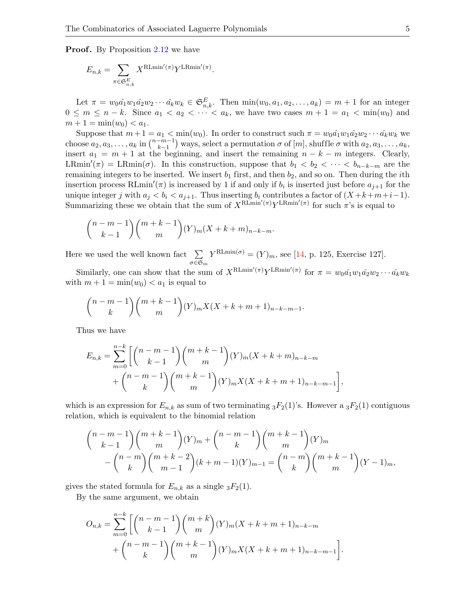**Proof.** By Proposition [2.12](#page-3-0) we have

$$
E_{n,k} = \sum_{\pi \in \mathfrak{S}_{n,k}^E} X^{\text{RLmin}'(\pi)} Y^{\text{LRmin}'(\pi)}.
$$

Let  $\pi = w_0 \hat{a_1} w_1 \hat{a_2} w_2 \cdots \hat{a_k} w_k \in \mathfrak{S}_{n,k}^E$ . Then  $\min(w_0, a_1, a_2, \ldots, a_k) = m+1$  for an integer  $0 \leq m \leq n-k$ . Since  $a_1 < a_2 < \cdots < a_k$ , we have two cases  $m+1 = a_1 < \min(w_0)$  and  $m + 1 = \min(w_0) < a_1$ .

Suppose that  $m+1 = a_1 < \min(w_0)$ . In order to construct such  $\pi = w_0 \hat{a_1} w_1 \hat{a_2} w_2 \cdots \hat{a_k} w_k$  we choose  $a_2, a_3, ..., a_k$  in  $\binom{n-m-1}{k-1}$  $\binom{-m-1}{k-1}$  ways, select a permutation  $\sigma$  of  $[m]$ , shuffle  $\sigma$  with  $a_2, a_3, \ldots, a_k$ , insert  $a_1 = m + 1$  at the beginning, and insert the remaining  $n - k - m$  integers. Clearly, LRmin'( $\pi$ ) = LRmin( $\sigma$ ). In this construction, suppose that  $b_1 < b_2 < \cdots < b_{n-k-m}$  are the remaining integers to be inserted. We insert  $b_1$  first, and then  $b_2$ , and so on. Then during the *i*th insertion process RLmin'( $\pi$ ) is increased by 1 if and only if  $b_i$  is inserted just before  $a_{j+1}$  for the unique integer j with  $a_j < b_i < a_{j+1}$ . Thus inserting  $b_i$  contributes a factor of  $(X+k+m+i-1)$ . Summarizing these we obtain that the sum of  $X^{\text{RLmin}'(\pi)} Y^{\text{LRmin}'(\pi)}$  for such  $\pi$ 's is equal to

$$
\binom{n-m-1}{k-1}\binom{m+k-1}{m}(Y)_m(X+k+m)_{n-k-m}.
$$

Here we used the well known fact  $\Sigma$ σ∈S<sup>m</sup>  $Y^{\text{RLmin}(\sigma)} = (Y)_m$ , see [\[14,](#page-11-4) p. 125, Exercise 127].

Similarly, one can show that the sum of  $X^{\text{RLmin}'(\pi)} Y^{\text{LRmin}'(\pi)}$  for  $\pi = w_0 \hat{a_1} w_1 \hat{a_2} w_2 \cdots \hat{a_k} w_k$ with  $m + 1 = \min(w_0) < a_1$  is equal to

$$
\binom{n-m-1}{k}\binom{m+k-1}{m}(Y)_mX(X+k+m+1)_{n-k-m-1}.
$$

Thus we have

$$
E_{n,k} = \sum_{m=0}^{n-k} \left[ \binom{n-m-1}{k-1} \binom{m+k-1}{m} (Y)_m (X + k + m)_{n-k-m} + \binom{n-m-1}{k} \binom{m+k-1}{m} (Y)_m X (X + k + m + 1)_{n-k-m-1} \right],
$$

which is an expression for  $E_{n,k}$  as sum of two terminating  ${}_3F_2(1)$ 's. However a  ${}_3F_2(1)$  contiguous relation, which is equivalent to the binomial relation

$$
{\binom{n-m-1}{k-1}}{\binom{m+k-1}{m}}(Y)_m + {\binom{n-m-1}{k}}{\binom{m+k-1}{m}}(Y)_m
$$
  
–
$$
{\binom{n-m}{k}}{\binom{m+k-2}{m-1}}(k+m-1)(Y)_{m-1} = {\binom{n-m}{k}}{\binom{m+k-1}{m}}(Y-1)_m,
$$

gives the stated formula for  $E_{n,k}$  as a single  ${}_3F_2(1)$ .

By the same argument, we obtain

$$
O_{n,k} = \sum_{m=0}^{n-k} \left[ \binom{n-m-1}{k-1} \binom{m+k}{m} (Y)_m (X + k + m + 1)_{n-k-m} + \binom{n-m-1}{k} \binom{m+k-1}{m} (Y)_m X (X + k + m + 1)_{n-k-m-1} \right].
$$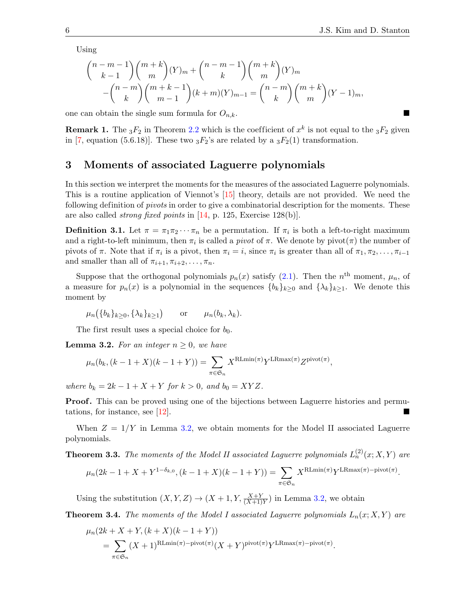.

Using

$$
{\binom{n-m-1}{k-1}}{\binom{m+k}{m}}(Y)_m + {\binom{n-m-1}{k}}{\binom{m+k}{m}}(Y)_m
$$
  
-( $\binom{n-m}{k}}{\binom{m+k-1}{m-1}}(k+m)(Y)_{m-1} = {\binom{n-m}{k}}{\binom{m+k}{m}}(Y-1)_m,$ 

one can obtain the single sum formula for  $O_{n,k}$ .

**Remark 1.** The  ${}_3F_2$  in Theorem [2.2](#page-1-0) which is the coefficient of  $x^k$  is not equal to the  ${}_3F_2$  given in [\[7,](#page-11-2) equation (5.6.18)]. These two  ${}_3F_2$ 's are related by a  ${}_3F_2(1)$  transformation.

#### 3 Moments of associated Laguerre polynomials

In this section we interpret the moments for the measures of the associated Laguerre polynomials. This is a routine application of Viennot's [\[15\]](#page-11-5) theory, details are not provided. We need the following definition of *pivots* in order to give a combinatorial description for the moments. These are also called *strong fixed points* in  $[14, p. 125,$  $[14, p. 125,$  Exercise 128(b).

**Definition 3.1.** Let  $\pi = \pi_1 \pi_2 \cdots \pi_n$  be a permutation. If  $\pi_i$  is both a left-to-right maximum and a right-to-left minimum, then  $\pi_i$  is called a *pivot* of  $\pi$ . We denote by pivot $(\pi)$  the number of pivots of  $\pi$ . Note that if  $\pi_i$  is a pivot, then  $\pi_i = i$ , since  $\pi_i$  is greater than all of  $\pi_1, \pi_2, \ldots, \pi_{i-1}$ and smaller than all of  $\pi_{i+1}, \pi_{i+2}, \ldots, \pi_n$ .

Suppose that the orthogonal polynomials  $p_n(x)$  satisfy [\(2.1\)](#page-1-2). Then the  $n^{\text{th}}$  moment,  $\mu_n$ , of a measure for  $p_n(x)$  is a polynomial in the sequences  $\{b_k\}_{k\geq 0}$  and  $\{\lambda_k\}_{k\geq 1}$ . We denote this moment by

$$
\mu_n(\lbrace b_k \rbrace_{k \geq 0}, \lbrace \lambda_k \rbrace_{k \geq 1})
$$
 or  $\mu_n(b_k, \lambda_k)$ .

The first result uses a special choice for  $b_0$ .

<span id="page-5-2"></span>**Lemma 3.2.** For an integer  $n \geq 0$ , we have

$$
\mu_n(b_k, (k-1+X)(k-1+Y)) = \sum_{\pi \in \mathfrak{S}_n} X^{\text{RLmin}(\pi)} Y^{\text{LRmax}(\pi)} Z^{\text{pivot}(\pi)},
$$

where  $b_k = 2k - 1 + X + Y$  for  $k > 0$ , and  $b_0 = XYZ$ .

**Proof.** This can be proved using one of the bijections between Laguerre histories and permutations, for instance, see [\[12\]](#page-11-6).

When  $Z = 1/Y$  in Lemma [3.2,](#page-5-2) we obtain moments for the Model II associated Laguerre polynomials.

<span id="page-5-0"></span>**Theorem 3.3.** The moments of the Model II associated Laguerre polynomials  $L_n^{(2)}(x;X,Y)$  are

$$
\mu_n(2k-1+X+Y^{1-\delta_{k,0}},(k-1+X)(k-1+Y))=\sum_{\pi\in\mathfrak{S}_n}X^{\mathrm{RLmin}(\pi)}Y^{\mathrm{LRmax}(\pi)-\mathrm{pivot}(\pi)}
$$

Using the substitution  $(X, Y, Z) \to (X + 1, Y, \frac{X+Y}{(X+1)Y})$  in Lemma [3.2,](#page-5-2) we obtain

<span id="page-5-1"></span>**Theorem 3.4.** The moments of the Model I associated Laguerre polynomials  $L_n(x; X, Y)$  are

$$
\mu_n(2k+X+Y,(k+X)(k-1+Y))
$$
  
= 
$$
\sum_{\pi \in \mathfrak{S}_n} (X+1)^{\mathrm{RLmin}(\pi)-\mathrm{pivot}(\pi)} (X+Y)^{\mathrm{pivot}(\pi)} Y^{\mathrm{LRmax}(\pi)-\mathrm{pivot}(\pi)}.
$$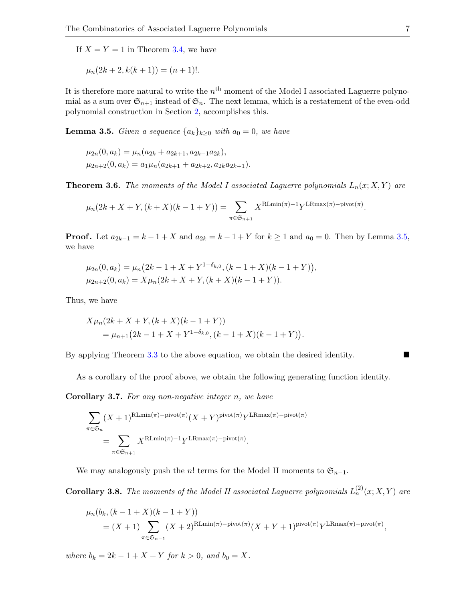If  $X = Y = 1$  in Theorem [3.4,](#page-5-1) we have

$$
\mu_n(2k+2, k(k+1)) = (n+1)!
$$

It is therefore more natural to write the  $n<sup>th</sup>$  moment of the Model I associated Laguerre polynomial as a sum over  $\mathfrak{S}_{n+1}$  instead of  $\mathfrak{S}_n$ . The next lemma, which is a restatement of the even-odd polynomial construction in Section [2,](#page-1-3) accomplishes this.

<span id="page-6-0"></span>**Lemma 3.5.** Given a sequence  $\{a_k\}_{k\geq 0}$  with  $a_0 = 0$ , we have

$$
\mu_{2n}(0, a_k) = \mu_n(a_{2k} + a_{2k+1}, a_{2k-1}a_{2k}),
$$
  

$$
\mu_{2n+2}(0, a_k) = a_1\mu_n(a_{2k+1} + a_{2k+2}, a_{2k}a_{2k+1}).
$$

<span id="page-6-1"></span>**Theorem 3.6.** The moments of the Model I associated Laguerre polynomials  $L_n(x; X, Y)$  are

$$
\mu_n(2k+X+Y,(k+X)(k-1+Y)) = \sum_{\pi \in \mathfrak{S}_{n+1}} X^{\mathrm{RLmin}(\pi)-1} Y^{\mathrm{LRmax}(\pi)-\mathrm{pivot}(\pi)}.
$$

**Proof.** Let  $a_{2k-1} = k - 1 + X$  and  $a_{2k} = k - 1 + Y$  for  $k \ge 1$  and  $a_0 = 0$ . Then by Lemma [3.5,](#page-6-0) we have

$$
\mu_{2n}(0, a_k) = \mu_n(2k - 1 + X + Y^{1 - \delta_{k,0}}, (k - 1 + X)(k - 1 + Y)),
$$
  

$$
\mu_{2n+2}(0, a_k) = X\mu_n(2k + X + Y, (k + X)(k - 1 + Y)).
$$

Thus, we have

$$
X\mu_n(2k+X+Y,(k+X)(k-1+Y))
$$
  
=  $\mu_{n+1}(2k-1+X+Y^{1-\delta_{k,0}},(k-1+X)(k-1+Y)).$ 

By applying Theorem [3.3](#page-5-0) to the above equation, we obtain the desired identity.

As a corollary of the proof above, we obtain the following generating function identity.

Corollary 3.7. For any non-negative integer n, we have

$$
\sum_{\pi \in \mathfrak{S}_n} (X+1)^{\mathrm{RLmin}(\pi) - \mathrm{pivot}(\pi)} (X+Y)^{\mathrm{pivot}(\pi)} Y^{\mathrm{LRmax}(\pi) - \mathrm{pivot}(\pi)}
$$

$$
= \sum_{\pi \in \mathfrak{S}_{n+1}} X^{\mathrm{RLmin}(\pi) - 1} Y^{\mathrm{LRmax}(\pi) - \mathrm{pivot}(\pi)}.
$$

We may analogously push the n! terms for the Model II moments to  $\mathfrak{S}_{n-1}$ .

**Corollary 3.8.** The moments of the Model II associated Laguerre polynomials  $L_n^{(2)}(x;X,Y)$  are

$$
\mu_n(b_k, (k-1+X)(k-1+Y))
$$
  
=  $(X+1)\sum_{\pi \in \mathfrak{S}_{n-1}} (X+2)^{\mathrm{RLmin}(\pi)-\mathrm{pivot}(\pi)} (X+Y+1)^{\mathrm{pivot}(\pi)} Y^{\mathrm{LRmax}(\pi)-\mathrm{pivot}(\pi)},$ 

where  $b_k = 2k - 1 + X + Y$  for  $k > 0$ , and  $b_0 = X$ .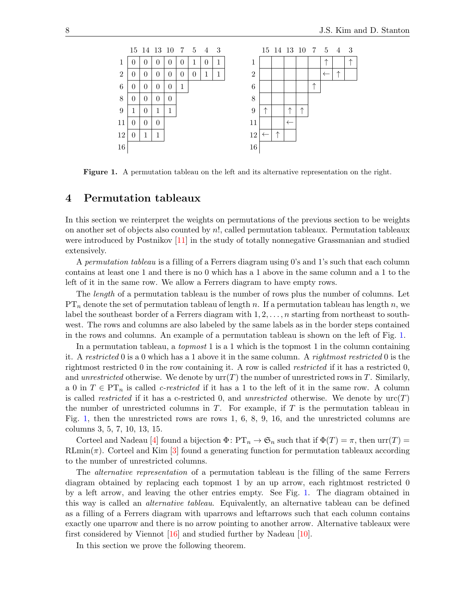

<span id="page-7-0"></span>Figure 1. A permutation tableau on the left and its alternative representation on the right.

#### 4 Permutation tableaux

In this section we reinterpret the weights on permutations of the previous section to be weights on another set of objects also counted by n!, called permutation tableaux. Permutation tableaux were introduced by Postnikov [\[11\]](#page-11-7) in the study of totally nonnegative Grassmanian and studied extensively.

A permutation tableau is a filling of a Ferrers diagram using 0's and 1's such that each column contains at least one 1 and there is no 0 which has a 1 above in the same column and a 1 to the left of it in the same row. We allow a Ferrers diagram to have empty rows.

The *length* of a permutation tableau is the number of rows plus the number of columns. Let  $PT_n$  denote the set of permutation tableau of length n. If a permutation tableau has length n, we label the southeast border of a Ferrers diagram with  $1, 2, \ldots, n$  starting from northeast to southwest. The rows and columns are also labeled by the same labels as in the border steps contained in the rows and columns. An example of a permutation tableau is shown on the left of Fig. [1.](#page-7-0)

In a permutation tableau, a *topmost* 1 is a 1 which is the topmost 1 in the column containing it. A restricted 0 is a 0 which has a 1 above it in the same column. A rightmost restricted 0 is the rightmost restricted 0 in the row containing it. A row is called restricted if it has a restricted 0, and unrestricted otherwise. We denote by  $\text{urr}(T)$  the number of unrestricted rows in T. Similarly, a 0 in  $T \in PT_n$  is called *c-restricted* if it has a 1 to the left of it in the same row. A column is called restricted if it has a c-restricted 0, and unrestricted otherwise. We denote by  $\text{urc}(T)$ the number of unrestricted columns in  $T$ . For example, if  $T$  is the permutation tableau in Fig. [1,](#page-7-0) then the unrestricted rows are rows 1, 6, 8, 9, 16, and the unrestricted columns are columns 3, 5, 7, 10, 13, 15.

Corteel and Nadeau [\[4\]](#page-11-8) found a bijection  $\Phi\colon PT_n \to \mathfrak{S}_n$  such that if  $\Phi(T) = \pi$ , then  $\text{urr}(T) =$ RLmin( $\pi$ ). Corteel and Kim [\[3\]](#page-11-9) found a generating function for permutation tableaux according to the number of unrestricted columns.

The alternative representation of a permutation tableau is the filling of the same Ferrers diagram obtained by replacing each topmost 1 by an up arrow, each rightmost restricted 0 by a left arrow, and leaving the other entries empty. See Fig. [1.](#page-7-0) The diagram obtained in this way is called an alternative tableau. Equivalently, an alternative tableau can be defined as a filling of a Ferrers diagram with uparrows and leftarrows such that each column contains exactly one uparrow and there is no arrow pointing to another arrow. Alternative tableaux were first considered by Viennot [\[16\]](#page-11-10) and studied further by Nadeau [\[10\]](#page-11-11).

In this section we prove the following theorem.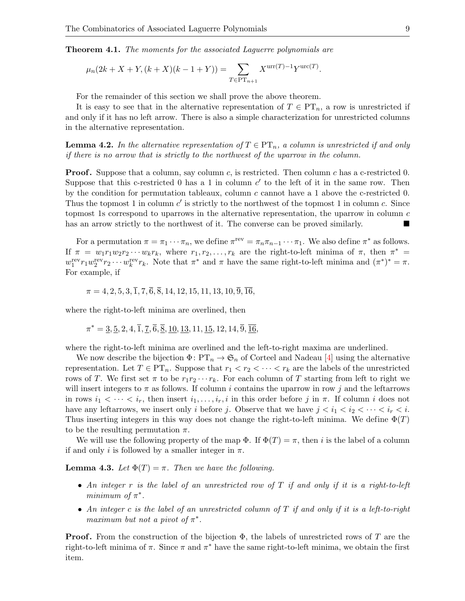<span id="page-8-0"></span>**Theorem 4.1.** The moments for the associated Laguerre polynomials are

$$
\mu_n(2k+X+Y,(k+X)(k-1+Y)) = \sum_{T \in \text{PT}_{n+1}} X^{\text{urr}(T)-1} Y^{\text{urc}(T)}.
$$

For the remainder of this section we shall prove the above theorem.

It is easy to see that in the alternative representation of  $T \in PT_n$ , a row is unrestricted if and only if it has no left arrow. There is also a simple characterization for unrestricted columns in the alternative representation.

<span id="page-8-1"></span>**Lemma 4.2.** In the alternative representation of  $T \in PT_n$ , a column is unrestricted if and only if there is no arrow that is strictly to the northwest of the uparrow in the column.

**Proof.** Suppose that a column, say column c, is restricted. Then column c has a c-restricted 0. Suppose that this c-restricted 0 has a 1 in column  $c'$  to the left of it in the same row. Then by the condition for permutation tableaux, column  $c$  cannot have a 1 above the c-restricted 0. Thus the topmost 1 in column  $c'$  is strictly to the northwest of the topmost 1 in column  $c$ . Since topmost 1s correspond to uparrows in the alternative representation, the uparrow in column  $c$ has an arrow strictly to the northwest of it. The converse can be proved similarly.

For a permutation  $\pi = \pi_1 \cdots \pi_n$ , we define  $\pi^{\text{rev}} = \pi_n \pi_{n-1} \cdots \pi_1$ . We also define  $\pi^*$  as follows. If  $\pi = w_1 r_1 w_2 r_2 \cdots w_k r_k$ , where  $r_1, r_2, \ldots, r_k$  are the right-to-left minima of  $\pi$ , then  $\pi^* =$  $w_1^{\text{rev}} r_1 w_2^{\text{rev}} r_2 \cdots w_k^{\text{rev}} r_k$ . Note that  $\pi^*$  and  $\pi$  have the same right-to-left minima and  $(\pi^*)^* = \pi$ . For example, if

$$
\pi = 4, 2, 5, 3, \overline{1}, 7, \overline{6}, \overline{8}, 14, 12, 15, 11, 13, 10, \overline{9}, \overline{16},
$$

where the right-to-left minima are overlined, then

$$
\pi^* = \underline{3}, \underline{5}, 2, 4, \overline{1}, \underline{7}, \overline{6}, \underline{8}, \underline{10}, \underline{13}, 11, \underline{15}, 12, 14, \overline{9}, \overline{\underline{16}},
$$

where the right-to-left minima are overlined and the left-to-right maxima are underlined.

We now describe the bijection  $\Phi \colon PT_n \to \mathfrak{S}_n$  of Corteel and Nadeau [\[4\]](#page-11-8) using the alternative representation. Let  $T \in PT_n$ . Suppose that  $r_1 < r_2 < \cdots < r_k$  are the labels of the unrestricted rows of T. We first set  $\pi$  to be  $r_1r_2\cdots r_k$ . For each column of T starting from left to right we will insert integers to  $\pi$  as follows. If column i contains the uparrow in row j and the leftarrows in rows  $i_1 < \cdots < i_r$ , then insert  $i_1, \ldots, i_r, i$  in this order before j in  $\pi$ . If column i does not have any leftarrows, we insert only i before j. Observe that we have  $j < i_1 < i_2 < \cdots < i_r < i$ . Thus inserting integers in this way does not change the right-to-left minima. We define  $\Phi(T)$ to be the resulting permutation  $\pi$ .

We will use the following property of the map  $\Phi$ . If  $\Phi(T) = \pi$ , then i is the label of a column if and only i is followed by a smaller integer in  $\pi$ .

**Lemma 4.3.** Let  $\Phi(T) = \pi$ . Then we have the following.

- An integer r is the label of an unrestricted row of  $T$  if and only if it is a right-to-left minimum of  $\pi^*$ .
- An integer c is the label of an unrestricted column of  $T$  if and only if it is a left-to-right maximum but not a pivot of  $\pi^*$ .

**Proof.** From the construction of the bijection  $\Phi$ , the labels of unrestricted rows of T are the right-to-left minima of  $\pi$ . Since  $\pi$  and  $\pi^*$  have the same right-to-left minima, we obtain the first item.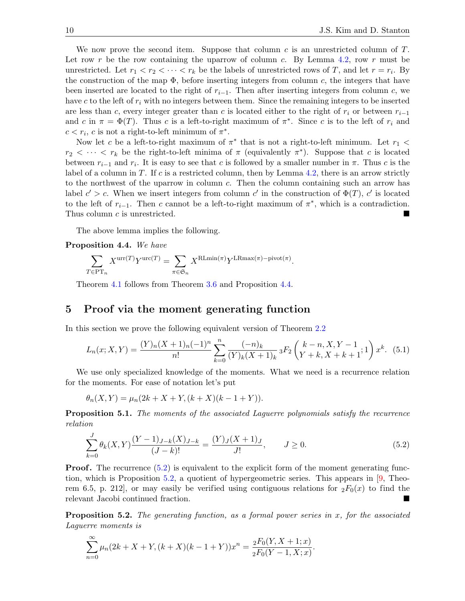We now prove the second item. Suppose that column  $c$  is an unrestricted column of  $T$ . Let row r be the row containing the uparrow of column c. By Lemma [4.2,](#page-8-1) row r must be unrestricted. Let  $r_1 < r_2 < \cdots < r_k$  be the labels of unrestricted rows of T, and let  $r = r_i$ . By the construction of the map  $\Phi$ , before inserting integers from column c, the integers that have been inserted are located to the right of  $r_{i-1}$ . Then after inserting integers from column c, we have c to the left of  $r_i$  with no integers between them. Since the remaining integers to be inserted are less than c, every integer greater than c is located either to the right of  $r_i$  or between  $r_{i-1}$ and c in  $\pi = \Phi(T)$ . Thus c is a left-to-right maximum of  $\pi^*$ . Since c is to the left of  $r_i$  and  $c < r_i$ , c is not a right-to-left minimum of  $\pi^*$ .

Now let c be a left-to-right maximum of  $\pi^*$  that is not a right-to-left minimum. Let  $r_1$  <  $r_2 < \cdots < r_k$  be the right-to-left minima of  $\pi$  (equivalently  $\pi^*$ ). Suppose that c is located between  $r_{i-1}$  and  $r_i$ . It is easy to see that c is followed by a smaller number in  $\pi$ . Thus c is the label of a column in T. If c is a restricted column, then by Lemma [4.2,](#page-8-1) there is an arrow strictly to the northwest of the uparrow in column c. Then the column containing such an arrow has label  $c' > c$ . When we insert integers from column c' in the construction of  $\Phi(T)$ , c' is located to the left of  $r_{i-1}$ . Then c cannot be a left-to-right maximum of  $\pi^*$ , which is a contradiction. Thus column c is unrestricted.

The above lemma implies the following.

<span id="page-9-1"></span>Proposition 4.4. We have

$$
\sum_{T \in \text{PT}_n} X^{\text{urr}(T)} Y^{\text{urc}(T)} = \sum_{\pi \in \mathfrak{S}_n} X^{\text{RLmin}(\pi)} Y^{\text{LRmax}(\pi) - \text{pivot}(\pi)}.
$$

Theorem [4.1](#page-8-0) follows from Theorem [3.6](#page-6-1) and Proposition [4.4.](#page-9-1)

### <span id="page-9-0"></span>5 Proof via the moment generating function

In this section we prove the following equivalent version of Theorem [2.2](#page-1-0)

<span id="page-9-4"></span>
$$
L_n(x; X, Y) = \frac{(Y)_n (X+1)_n (-1)^n}{n!} \sum_{k=0}^n \frac{(-n)_k}{(Y)_k (X+1)_k} {}_3F_2\left(\frac{k-n, X, Y-1}{Y+k, X+k+1}; 1\right) x^k. \tag{5.1}
$$

We use only specialized knowledge of the moments. What we need is a recurrence relation for the moments. For ease of notation let's put

$$
\theta_n(X,Y) = \mu_n(2k + X + Y, (k+X)(k-1+Y)).
$$

Proposition 5.1. The moments of the associated Laguerre polynomials satisfy the recurrence relation

<span id="page-9-2"></span>
$$
\sum_{k=0}^{J} \theta_k(X,Y) \frac{(Y-1)_{J-k}(X)_{J-k}}{(J-k)!} = \frac{(Y)_J(X+1)_J}{J!}, \qquad J \ge 0.
$$
\n(5.2)

**Proof.** The recurrence  $(5.2)$  is equivalent to the explicit form of the moment generating func-tion, which is Proposition [5.2,](#page-9-3) a quotient of hypergeometric series. This appears in  $[9,$  Theorem 6.5, p. 212, or may easily be verified using contiguous relations for  ${}_2F_0(x)$  to find the relevant Jacobi continued fraction.

<span id="page-9-3"></span>**Proposition 5.2.** The generating function, as a formal power series in  $x$ , for the associated Laguerre moments is

$$
\sum_{n=0}^{\infty} \mu_n(2k+X+Y,(k+X)(k-1+Y))x^n = \frac{{}_2F_0(Y,X+1;x)}{{}_2F_0(Y-1,X;x)}.
$$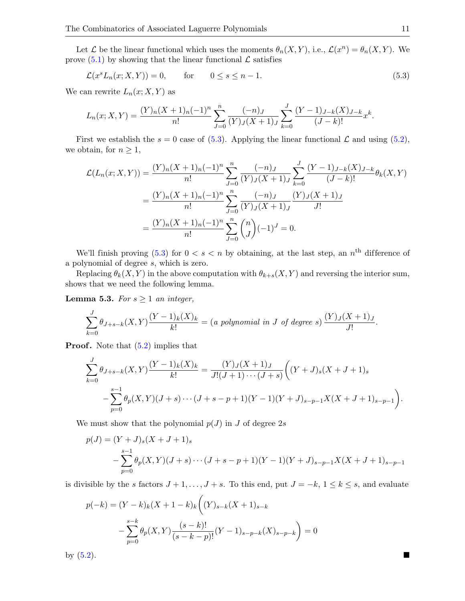Let  $\mathcal L$  be the linear functional which uses the moments  $\theta_n(X, Y)$ , i.e.,  $\mathcal L(x^n) = \theta_n(X, Y)$ . We prove  $(5.1)$  by showing that the linear functional  $\mathcal L$  satisfies

<span id="page-10-0"></span>
$$
\mathcal{L}(x^s L_n(x; X, Y)) = 0, \qquad \text{for} \qquad 0 \le s \le n - 1. \tag{5.3}
$$

We can rewrite  $L_n(x; X, Y)$  as

$$
L_n(x; X, Y) = \frac{(Y)_n (X+1)_n (-1)^n}{n!} \sum_{J=0}^n \frac{(-n)_J}{(Y)_J (X+1)_J} \sum_{k=0}^J \frac{(Y-1)_{J-k} (X)_{J-k}}{(J-k)!} x^k.
$$

First we establish the  $s = 0$  case of [\(5.3\)](#page-10-0). Applying the linear functional  $\mathcal L$  and using [\(5.2\)](#page-9-2), we obtain, for  $n \geq 1$ ,

$$
\mathcal{L}(L_n(x; X, Y)) = \frac{(Y)_n (X+1)_n (-1)^n}{n!} \sum_{J=0}^n \frac{(-n)_J}{(Y)_J (X+1)_J} \sum_{k=0}^J \frac{(Y-1)_{J-k} (X)_{J-k}}{(J-k)!} \theta_k(X, Y)
$$

$$
= \frac{(Y)_n (X+1)_n (-1)^n}{n!} \sum_{J=0}^n \frac{(-n)_J}{(Y)_J (X+1)_J} \frac{(Y)_J (X+1)_J}{J!}
$$

$$
= \frac{(Y)_n (X+1)_n (-1)^n}{n!} \sum_{J=0}^n {n \choose J} (-1)^J = 0.
$$

We'll finish proving [\(5.3\)](#page-10-0) for  $0 < s < n$  by obtaining, at the last step, an  $n<sup>th</sup>$  difference of a polynomial of degree s, which is zero.

Replacing  $\theta_k(X, Y)$  in the above computation with  $\theta_{k+s}(X, Y)$  and reversing the interior sum, shows that we need the following lemma.

**Lemma 5.3.** For  $s \geq 1$  an integer,

$$
\sum_{k=0}^{J} \theta_{J+s-k}(X,Y) \frac{(Y-1)_k(X)_k}{k!} = (a \text{ polynomial in } J \text{ of degree } s) \frac{(Y)_J(X+1)_J}{J!}.
$$

**Proof.** Note that  $(5.2)$  implies that

$$
\sum_{k=0}^{J} \theta_{J+s-k}(X,Y) \frac{(Y-1)_k(X)_k}{k!} = \frac{(Y)_J(X+1)_J}{J!(J+1)\cdots(J+s)} \bigg((Y+J)_s(X+J+1)_s - \sum_{p=0}^{s-1} \theta_p(X,Y)(J+s)\cdots(J+s-p+1)(Y-1)(Y+J)_{s-p-1}X(X+J+1)_{s-p-1}\bigg).
$$

We must show that the polynomial  $p(J)$  in J of degree 2s

$$
p(J) = (Y+J)_s(X+J+1)_s
$$
  

$$
-\sum_{p=0}^{s-1} \theta_p(X,Y)(J+s)\cdots(J+s-p+1)(Y-1)(Y+J)_{s-p-1}X(X+J+1)_{s-p-1}
$$

is divisible by the s factors  $J + 1, \ldots, J + s$ . To this end, put  $J = -k, 1 \leq k \leq s$ , and evaluate

$$
p(-k) = (Y - k)_k (X + 1 - k)_k \left( (Y)_{s-k} (X + 1)_{s-k} - \sum_{p=0}^{s-k} \theta_p(X, Y) \frac{(s-k)!}{(s-k-p)!} (Y - 1)_{s-p-k}(X)_{s-p-k} \right) = 0
$$

by  $(5.2)$ .